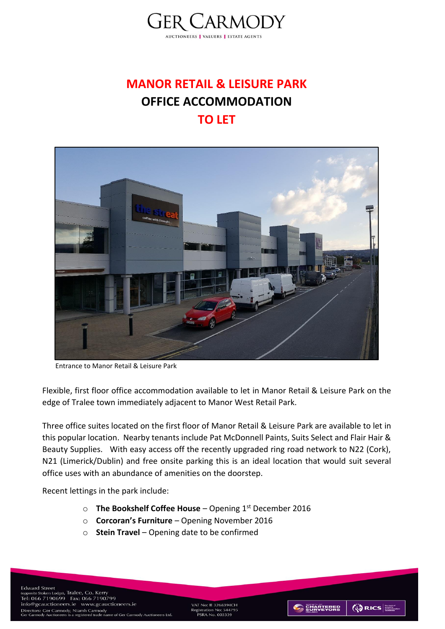

# **MANOR RETAIL & LEISURE PARK OFFICE ACCOMMODATION TO LET**



Entrance to Manor Retail & Leisure Park

Flexible, first floor office accommodation available to let in Manor Retail & Leisure Park on the edge of Tralee town immediately adjacent to Manor West Retail Park.

Three office suites located on the first floor of Manor Retail & Leisure Park are available to let in this popular location. Nearby tenants include Pat McDonnell Paints, Suits Select and Flair Hair & Beauty Supplies. With easy access off the recently upgraded ring road network to N22 (Cork), N21 (Limerick/Dublin) and free onsite parking this is an ideal location that would suit several office uses with an abundance of amenities on the doorstep.

Recent lettings in the park include:

- o **The Bookshelf Coffee House**  Opening 1st December 2016
- o **Corcoran's Furniture**  Opening November 2016
- o **Stein Travel**  Opening date to be confirmed

**Edward Street** Edward Street<br>
(opposite Stokers Lodge), Tralee, Co. Kerry<br>Tel: 066 7190699 Fax: 066 7190799 info@gcauctioneers.ie www.gcauctioneers.ie 1010@gcauctioneers.1e Www.gcau<br>Directors: Ger Carmody, Niamh Carmody<br>Ger Carmody Auctioneers is a registered trade na of Ger Carmody Auct

VAT No: IF 3268394CH ic 32003340<br>ion No: 5447<br>No. 003339



**ORICS**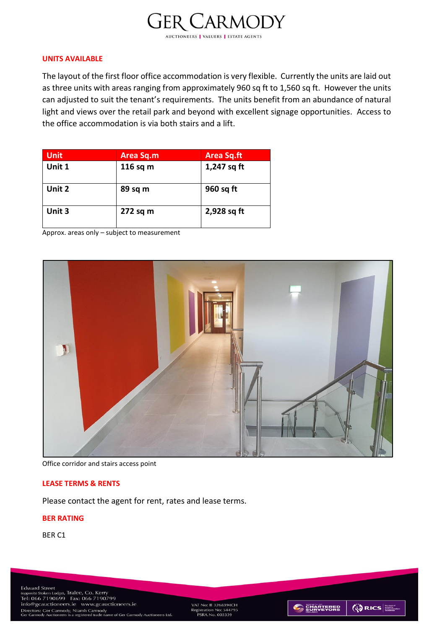# **GER CARMODY**

**AUCTIONEERS | VALUERS | ESTATE AGENTS** 

## **UNITS AVAILABLE**

The layout of the first floor office accommodation is very flexible. Currently the units are laid out as three units with areas ranging from approximately 960 sq ft to 1,560 sq ft. However the units can adjusted to suit the tenant's requirements. The units benefit from an abundance of natural light and views over the retail park and beyond with excellent signage opportunities. Access to the office accommodation is via both stairs and a lift.

| <b>Unit</b> | Area Sq.m  | <b>Area Sq.ft</b> |
|-------------|------------|-------------------|
| Unit 1      | 116 sq $m$ | 1,247 sq ft       |
| Unit 2      | 89 sq m    | 960 sq ft         |
| Unit 3      | 272 sq m   | 2,928 sq ft       |

Approx. areas only – subject to measurement



Office corridor and stairs access point

## **LEASE TERMS & RENTS**

Please contact the agent for rent, rates and lease terms.

## **BER RATING**

BER C1

**Edward Street** Edward Street<br>
(opposite Stokers Lodge), Tralee, Co. Kerry<br>Tel: 066 7190699 Fax: 066 7190799 info@gcauctioneers.ie www.gcauctioneers.ie Directors: Ger Carmody, Niamh Carmody<br>Ger Carmody Auctioneers is a registered trade nar e of Ger Carmody Auctioneers Ltd

VAT No: IE 3268394CH egistration No: 54479<br>PSRA No. 003339



**ORICS**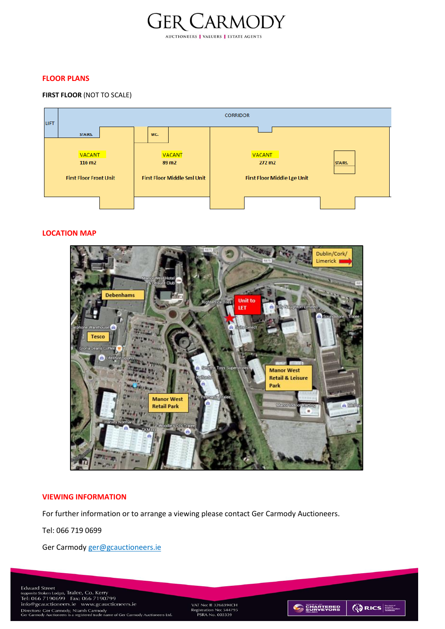

#### **FLOOR PLANS**

#### **FIRST FLOOR** (NOT TO SCALE)



#### **LOCATION MAP**



#### **VIEWING INFORMATION**

For further information or to arrange a viewing please contact Ger Carmody Auctioneers.

Tel: 066 719 0699

Ger Carmody [ger@gcauctioneers.ie](mailto:ger@gcauctioneers.ie) 

VAT No: IE 3268394CH<br>Registration No: 544795<br>PSRA No. 003339



**QRICS**